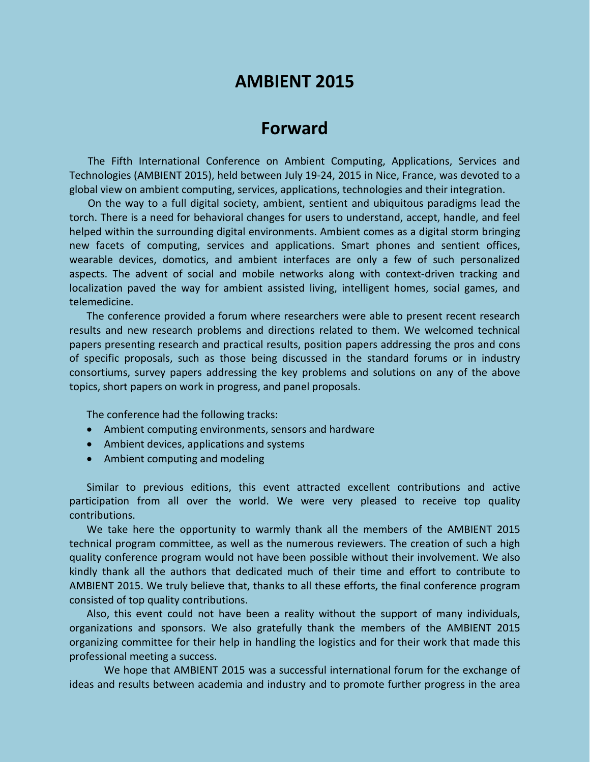# **AMBIENT 2015**

## **Forward**

The Fifth International Conference on Ambient Computing, Applications, Services and Technologies (AMBIENT 2015), held between July 19-24, 2015 in Nice, France, was devoted to a global view on ambient computing, services, applications, technologies and their integration.

On the way to a full digital society, ambient, sentient and ubiquitous paradigms lead the torch. There is a need for behavioral changes for users to understand, accept, handle, and feel helped within the surrounding digital environments. Ambient comes as a digital storm bringing new facets of computing, services and applications. Smart phones and sentient offices, wearable devices, domotics, and ambient interfaces are only a few of such personalized aspects. The advent of social and mobile networks along with context-driven tracking and localization paved the way for ambient assisted living, intelligent homes, social games, and telemedicine.

The conference provided a forum where researchers were able to present recent research results and new research problems and directions related to them. We welcomed technical papers presenting research and practical results, position papers addressing the pros and cons of specific proposals, such as those being discussed in the standard forums or in industry consortiums, survey papers addressing the key problems and solutions on any of the above topics, short papers on work in progress, and panel proposals.

The conference had the following tracks:

- Ambient computing environments, sensors and hardware
- Ambient devices, applications and systems
- Ambient computing and modeling

Similar to previous editions, this event attracted excellent contributions and active participation from all over the world. We were very pleased to receive top quality contributions.

We take here the opportunity to warmly thank all the members of the AMBIENT 2015 technical program committee, as well as the numerous reviewers. The creation of such a high quality conference program would not have been possible without their involvement. We also kindly thank all the authors that dedicated much of their time and effort to contribute to AMBIENT 2015. We truly believe that, thanks to all these efforts, the final conference program consisted of top quality contributions.

Also, this event could not have been a reality without the support of many individuals, organizations and sponsors. We also gratefully thank the members of the AMBIENT 2015 organizing committee for their help in handling the logistics and for their work that made this professional meeting a success.

We hope that AMBIENT 2015 was a successful international forum for the exchange of ideas and results between academia and industry and to promote further progress in the area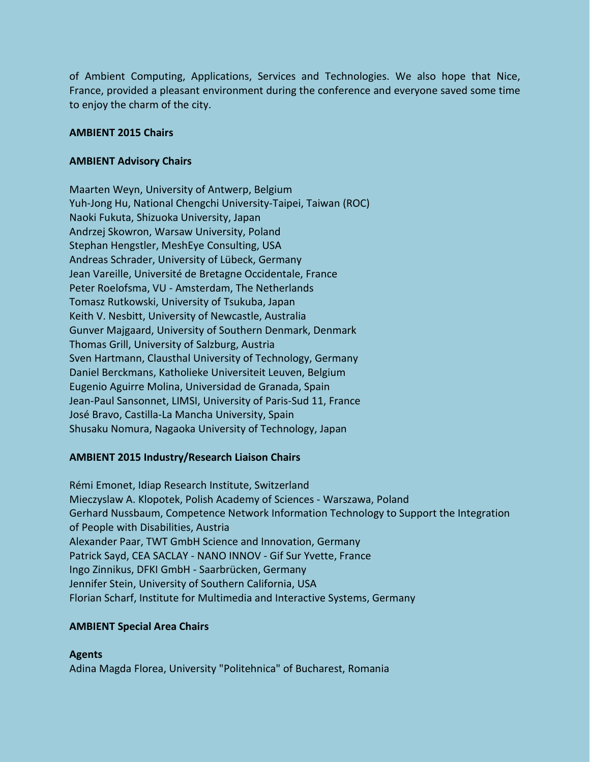of Ambient Computing, Applications, Services and Technologies. We also hope that Nice, France, provided a pleasant environment during the conference and everyone saved some time to enjoy the charm of the city.

#### **AMBIENT 2015 Chairs**

#### **AMBIENT Advisory Chairs**

Maarten Weyn, University of Antwerp, Belgium Yuh-Jong Hu, National Chengchi University-Taipei, Taiwan (ROC) Naoki Fukuta, Shizuoka University, Japan Andrzej Skowron, Warsaw University, Poland Stephan Hengstler, MeshEye Consulting, USA Andreas Schrader, University of Lübeck, Germany Jean Vareille, Université de Bretagne Occidentale, France Peter Roelofsma, VU - Amsterdam, The Netherlands Tomasz Rutkowski, University of Tsukuba, Japan Keith V. Nesbitt, University of Newcastle, Australia Gunver Majgaard, University of Southern Denmark, Denmark Thomas Grill, University of Salzburg, Austria Sven Hartmann, Clausthal University of Technology, Germany Daniel Berckmans, Katholieke Universiteit Leuven, Belgium Eugenio Aguirre Molina, Universidad de Granada, Spain Jean-Paul Sansonnet, LIMSI, University of Paris-Sud 11, France José Bravo, Castilla-La Mancha University, Spain Shusaku Nomura, Nagaoka University of Technology, Japan

## **AMBIENT 2015 Industry/Research Liaison Chairs**

Rémi Emonet, Idiap Research Institute, Switzerland Mieczyslaw A. Klopotek, Polish Academy of Sciences - Warszawa, Poland Gerhard Nussbaum, Competence Network Information Technology to Support the Integration of People with Disabilities, Austria Alexander Paar, TWT GmbH Science and Innovation, Germany Patrick Sayd, CEA SACLAY - NANO INNOV - Gif Sur Yvette, France Ingo Zinnikus, DFKI GmbH - Saarbrücken, Germany Jennifer Stein, University of Southern California, USA Florian Scharf, Institute for Multimedia and Interactive Systems, Germany

#### **AMBIENT Special Area Chairs**

**Agents** Adina Magda Florea, University "Politehnica" of Bucharest, Romania